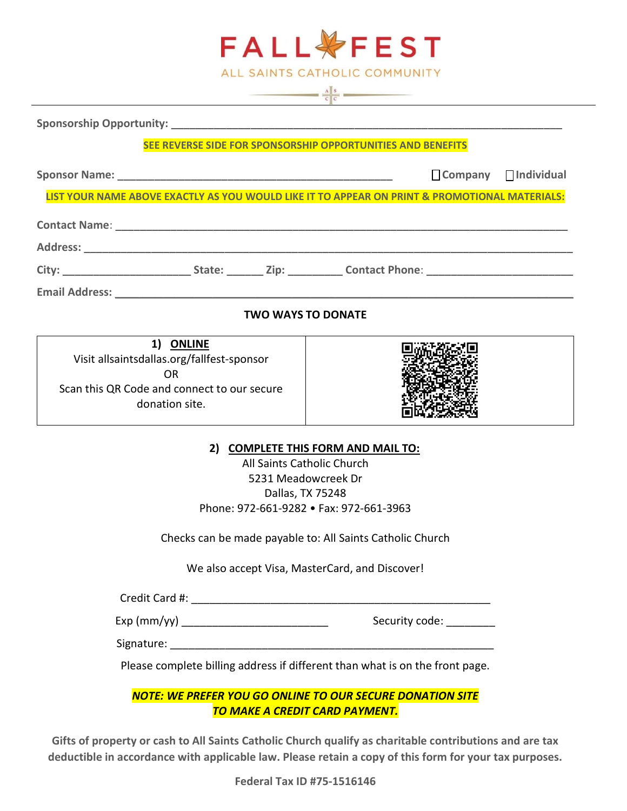| <b>FALL VFEST</b>                                                                                                                                                                                                              |                                                                                                           |  |
|--------------------------------------------------------------------------------------------------------------------------------------------------------------------------------------------------------------------------------|-----------------------------------------------------------------------------------------------------------|--|
| ALL SAINTS CATHOLIC COMMUNITY<br>$\frac{\mathbf{A} \parallel \mathbf{s}}{\mathbf{c} \parallel \mathbf{c}}$                                                                                                                     |                                                                                                           |  |
|                                                                                                                                                                                                                                |                                                                                                           |  |
| SEE REVERSE SIDE FOR SPONSORSHIP OPPORTUNITIES AND BENEFITS                                                                                                                                                                    |                                                                                                           |  |
|                                                                                                                                                                                                                                | $\Box$ Company $\Box$ Individual                                                                          |  |
|                                                                                                                                                                                                                                | LIST YOUR NAME ABOVE EXACTLY AS YOU WOULD LIKE IT TO APPEAR ON PRINT & PROMOTIONAL MATERIALS:             |  |
|                                                                                                                                                                                                                                |                                                                                                           |  |
|                                                                                                                                                                                                                                |                                                                                                           |  |
|                                                                                                                                                                                                                                |                                                                                                           |  |
| Email Address: North American State of the American State of the American State of the American State of the American State of the American State of the American State of the American State of the American State of the Ame |                                                                                                           |  |
| <b>TWO WAYS TO DONATE</b>                                                                                                                                                                                                      |                                                                                                           |  |
| 1) ONLINE<br>Visit allsaintsdallas.org/fallfest-sponsor<br><b>OR</b><br>Scan this QR Code and connect to our secure<br>donation site.                                                                                          |                                                                                                           |  |
| 2) COMPLETE THIS FORM AND MAIL TO:<br>All Saints Catholic Church<br>5231 Meadowcreek Dr<br>Dallas, TX 75248<br>Phone: 972-661-9282 • Fax: 972-661-3963<br>Checks can be made payable to: All Saints Catholic Church            |                                                                                                           |  |
| We also accept Visa, MasterCard, and Discover!                                                                                                                                                                                 |                                                                                                           |  |
|                                                                                                                                                                                                                                |                                                                                                           |  |
| Exp (mm/yy) _______________________________                                                                                                                                                                                    | Security code: _________                                                                                  |  |
|                                                                                                                                                                                                                                |                                                                                                           |  |
| Please complete billing address if different than what is on the front page.                                                                                                                                                   |                                                                                                           |  |
|                                                                                                                                                                                                                                | <b>NOTE: WE PREFER YOU GO ONLINE TO OUR SECURE DONATION SITE</b><br><b>TO MAKE A CREDIT CARD PAYMENT.</b> |  |

Gifts of property or cash to All Saints Catholic Church qualify as charitable contributions and are tax deductible in accordance with applicable law. Please retain a copy of this form for your tax purposes.